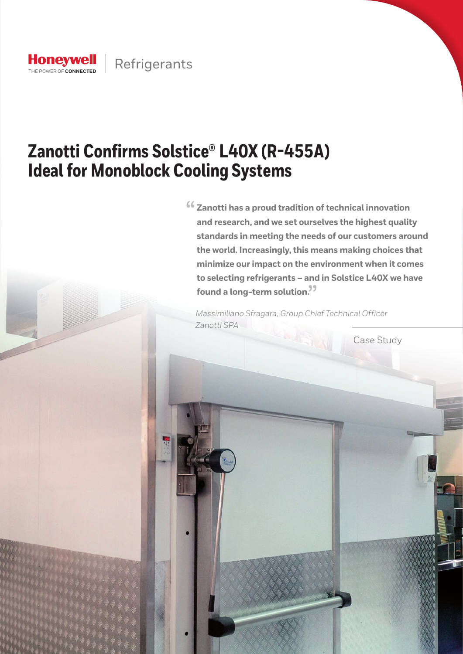

# **Zanotti Confirms Solstice® L40X (R-455A) Ideal for Monoblock Cooling Systems**

 $66$  Zanotti has a proud tradition of technical innovation **and research, and we set ourselves the highest quality standards in meeting the needs of our customers around the world. Increasingly, this means making choices that minimize our impact on the environment when it comes to selecting refrigerants – and in Solstice L40X we have found a long-term solution.<sup>99</sup><br>We also the contract of the contract of the contract of the contract of the contract of the contract of the contract of the contract of the contract of the contract of the contract of the c** 

*Massimiliano Sfragara, Group Chief Technical Officer Zanotti SPA* 

Case Study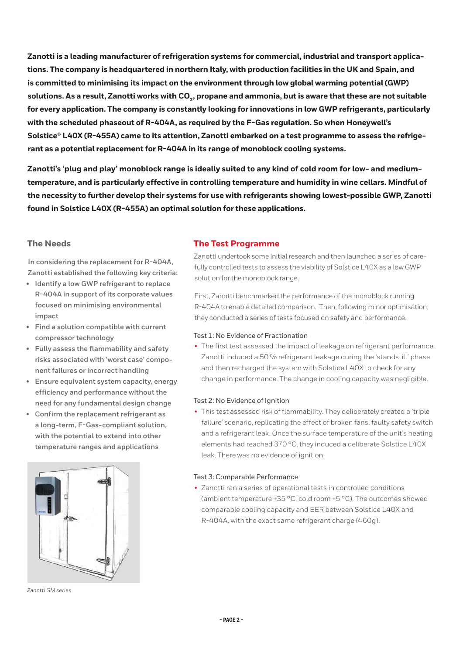**Zanotti is a leading manufacturer of refrigeration systems for commercial, industrial and transport applications. The company is headquartered in northern Italy, with production facilities in the UK and Spain, and is committed to minimising its impact on the environment through low global warming potential (GWP)** solutions. As a result, Zanotti works with CO<sub>2</sub>, propane and ammonia, but is aware that these are not suitable **for every application. The company is constantly looking for innovations in low GWP refrigerants, particularly with the scheduled phaseout of R-404A, as required by the F-Gas regulation. So when Honeywell's Solstice® L40X (R-455A) came to its attention, Zanotti embarked on a test programme to assess the refrigerant as a potential replacement for R-404A in its range of monoblock cooling systems.** 

**Zanotti's 'plug and play' monoblock range is ideally suited to any kind of cold room for low- and mediumtemperature, and is particularly effective in controlling temperature and humidity in wine cellars. Mindful of the necessity to further develop their systems for use with refrigerants showing lowest-possible GWP, Zanotti found in Solstice L40X (R-455A) an optimal solution for these applications.** 

# **The Needs**

**In considering the replacement for R-404A, Zanotti established the following key criteria:**

- **• Identify a low GWP refrigerant to replace R-404A in support of its corporate values focused on minimising environmental impact**
- **• Find a solution compatible with current compressor technology**
- **• Fully assess the flammability and safety risks associated with 'worst case' component failures or incorrect handling**
- **• Ensure equivalent system capacity, energy efficiency and performance without the need for any fundamental design change**
- **• Confirm the replacement refrigerant as a long-term, F-Gas-compliant solution, with the potential to extend into other temperature ranges and applications**



*Zanotti GM series*

# **The Test Programme**

Zanotti undertook some initial research and then launched a series of carefully controlled tests to assess the viability of Solstice L40X as a low GWP solution for the monoblock range.

First, Zanotti benchmarked the performance of the monoblock running R-404A to enable detailed comparison. Then, following minor optimisation, they conducted a series of tests focused on safety and performance.

## Test 1: No Evidence of Fractionation

• The first test assessed the impact of leakage on refrigerant performance. Zanotti induced a 50 % refrigerant leakage during the 'standstill' phase and then recharged the system with Solstice L40X to check for any change in performance. The change in cooling capacity was negligible.

## Test 2: No Evidence of Ignition

• This test assessed risk of flammability. They deliberately created a 'triple failure' scenario, replicating the effect of broken fans, faulty safety switch and a refrigerant leak. Once the surface temperature of the unit's heating elements had reached 370 °C, they induced a deliberate Solstice L40X leak. There was no evidence of ignition.

## Test 3: Comparable Performance

• Zanotti ran a series of operational tests in controlled conditions (ambient temperature +35 °C, cold room +5 °C). The outcomes showed comparable cooling capacity and EER between Solstice L40X and R-404A, with the exact same refrigerant charge (460g).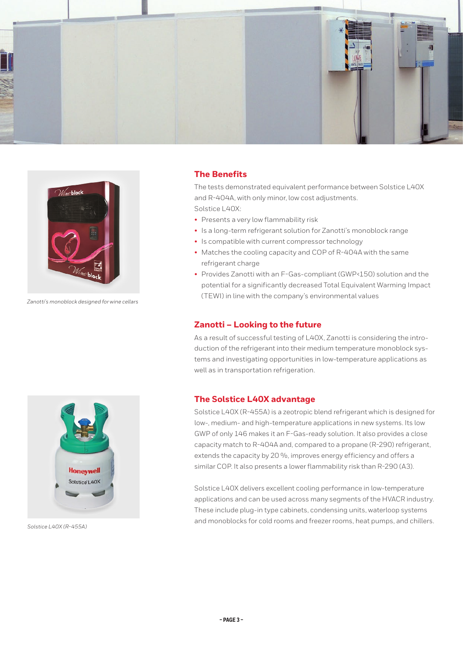



*Zanotti's monoblock designed for wine cellars*

# **The Benefits**

The tests demonstrated equivalent performance between Solstice L40X and R-404A, with only minor, low cost adjustments. Solstice L40X:

- Presents a very low flammability risk
- Is a long-term refrigerant solution for Zanotti's monoblock range
- Is compatible with current compressor technology
- Matches the cooling capacity and COP of R-404A with the same refrigerant charge
- Provides Zanotti with an F-Gas-compliant (GWP<150) solution and the potential for a significantly decreased Total Equivalent Warming Impact (TEWI) in line with the company's environmental values

#### **Zanotti – Looking to the future**

As a result of successful testing of L40X, Zanotti is considering the introduction of the refrigerant into their medium temperature monoblock systems and investigating opportunities in low-temperature applications as well as in transportation refrigeration.

# **The Solstice L40X advantage**

Solstice L40X (R-455A) is a zeotropic blend refrigerant which is designed for low-, medium- and high-temperature applications in new systems. Its low GWP of only 146 makes it an F-Gas-ready solution. It also provides a close capacity match to R-404A and, compared to a propane (R-290) refrigerant, extends the capacity by 20 %, improves energy efficiency and offers a similar COP. It also presents a lower flammability risk than R-290 (A3).

Solstice L40X delivers excellent cooling performance in low-temperature applications and can be used across many segments of the HVACR industry. These include plug-in type cabinets, condensing units, waterloop systems and monoblocks for cold rooms and freezer rooms, heat pumps, and chillers.



*Solstice L40X (R-455A)*